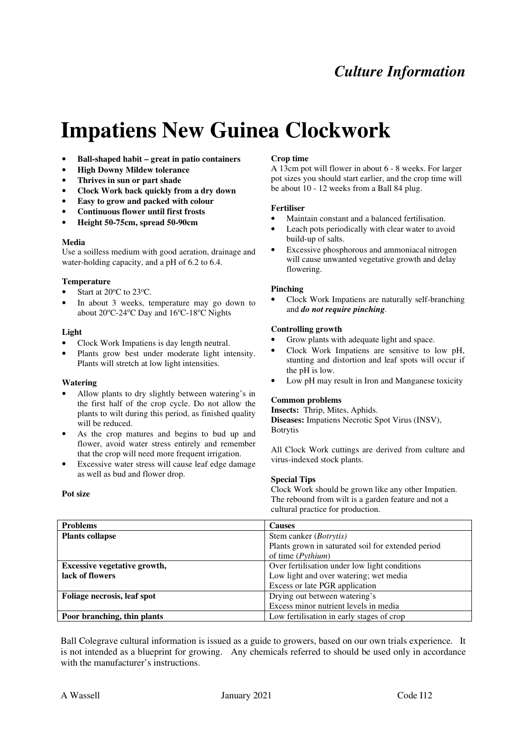# *Culture Information*

# **Impatiens New Guinea Clockwork**

- **Ball-shaped habit great in patio containers**
- **High Downy Mildew tolerance**
- **Thrives in sun or part shade**
- **Clock Work back quickly from a dry down**
- **Easy to grow and packed with colour**
- **Continuous flower until first frosts**
- **Height 50-75cm, spread 50-90cm**

#### **Media**

Use a soilless medium with good aeration, drainage and water-holding capacity, and a pH of 6.2 to 6.4.

# **Temperature**

- Start at 20°C to 23°C.
- In about 3 weeks, temperature may go down to about  $20^{\circ}$ C-24 $^{\circ}$ C Day and  $16^{\circ}$ C-18 $^{\circ}$ C Nights

# **Light**

- Clock Work Impatiens is day length neutral.
- Plants grow best under moderate light intensity. Plants will stretch at low light intensities.

#### **Watering**

- Allow plants to dry slightly between watering's in the first half of the crop cycle. Do not allow the plants to wilt during this period, as finished quality will be reduced.
- As the crop matures and begins to bud up and flower, avoid water stress entirely and remember that the crop will need more frequent irrigation.
- Excessive water stress will cause leaf edge damage as well as bud and flower drop.

# **Pot size**

# **Crop time**

A 13cm pot will flower in about 6 - 8 weeks. For larger pot sizes you should start earlier, and the crop time will be about 10 - 12 weeks from a Ball 84 plug.

# **Fertiliser**

- Maintain constant and a balanced fertilisation.
- Leach pots periodically with clear water to avoid build-up of salts.
- Excessive phosphorous and ammoniacal nitrogen will cause unwanted vegetative growth and delay flowering.

# **Pinching**

• Clock Work Impatiens are naturally self-branching and *do not require pinching.*

# **Controlling growth**

- Grow plants with adequate light and space.
- Clock Work Impatiens are sensitive to low pH, stunting and distortion and leaf spots will occur if the pH is low.
- Low pH may result in Iron and Manganese toxicity

# **Common problems**

**Insects:** Thrip, Mites, Aphids. **Diseases:** Impatiens Necrotic Spot Virus (INSV), Botrytis

All Clock Work cuttings are derived from culture and virus-indexed stock plants.

#### **Special Tips**

Clock Work should be grown like any other Impatien. The rebound from wilt is a garden feature and not a cultural practice for production.

| <b>Problems</b>                     | <b>Causes</b>                                      |
|-------------------------------------|----------------------------------------------------|
| <b>Plants collapse</b>              | Stem canker ( <i>Botrytis</i> )                    |
|                                     | Plants grown in saturated soil for extended period |
|                                     | of time ( <i>Pythium</i> )                         |
| <b>Excessive vegetative growth,</b> | Over fertilisation under low light conditions      |
| lack of flowers                     | Low light and over watering; wet media             |
|                                     | Excess or late PGR application                     |
| Foliage necrosis, leaf spot         | Drying out between watering's                      |
|                                     | Excess minor nutrient levels in media              |
| Poor branching, thin plants         | Low fertilisation in early stages of crop          |

Ball Colegrave cultural information is issued as a guide to growers, based on our own trials experience. It is not intended as a blueprint for growing. Any chemicals referred to should be used only in accordance with the manufacturer's instructions.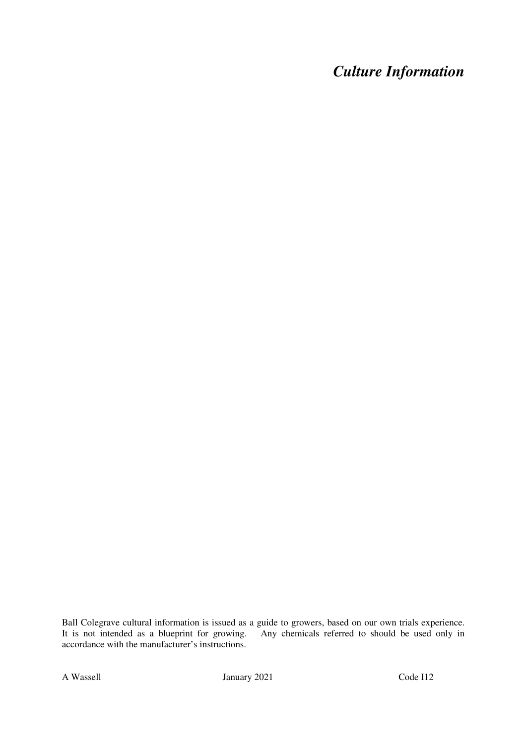# *Culture Information*

Ball Colegrave cultural information is issued as a guide to growers, based on our own trials experience. It is not intended as a blueprint for growing. Any chemicals referred to should be used only in accordance with the manufacturer's instructions.